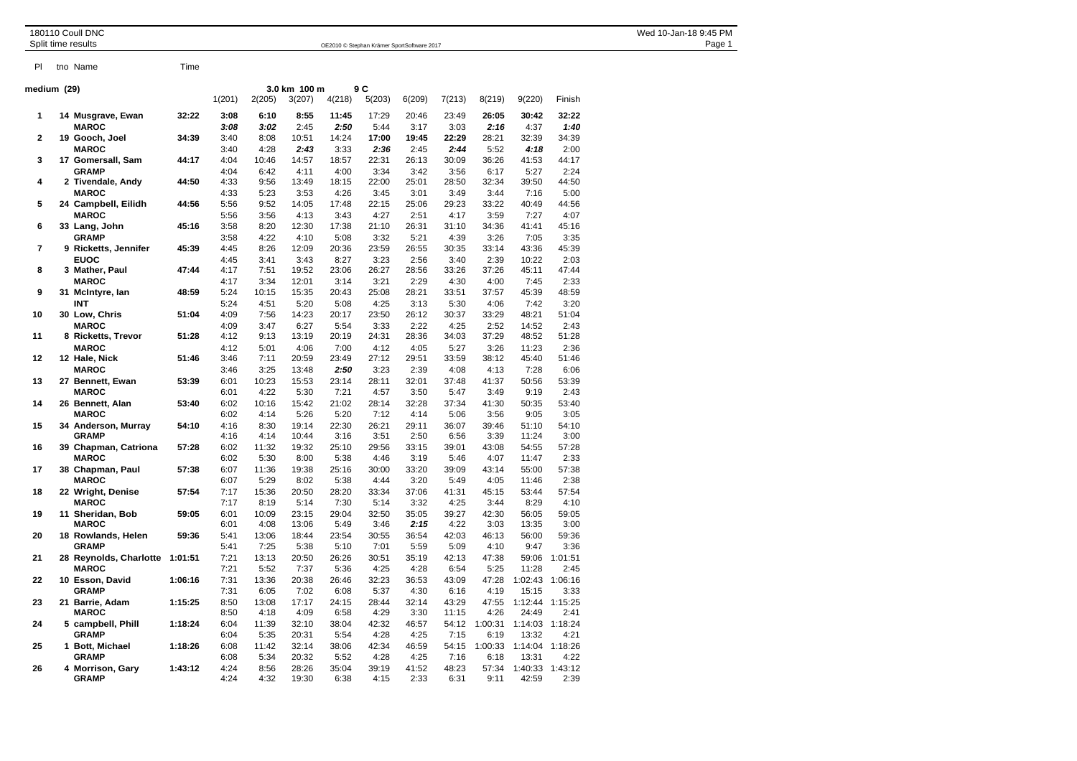| 180110 Coull DNC<br>Split time results |      | OE2010 © Stephan Krämer SportSoftware 2017 | Wed 10-Jan-18 9:45 PM<br>Page 1 |  |  |  |
|----------------------------------------|------|--------------------------------------------|---------------------------------|--|--|--|
| tno Name                               | Time |                                            |                                 |  |  |  |

|  |  | <b>VVCU TO UGIT TO</b> |  |
|--|--|------------------------|--|
|  |  |                        |  |
|  |  |                        |  |
|  |  |                        |  |
|  |  |                        |  |

| medium (29)    |                                  | 3.0 km 100 m<br>9 C |              |               |                |               |               |               |               |                 |                  |                 |
|----------------|----------------------------------|---------------------|--------------|---------------|----------------|---------------|---------------|---------------|---------------|-----------------|------------------|-----------------|
|                |                                  |                     | 1(201)       | 2(205)        | 3(207)         | 4(218)        | 5(203)        | 6(209)        | 7(213)        | 8(219)          | 9(220)           | Finish          |
| 1              | 14 Musgrave, Ewan                | 32:22               | 3:08         | 6:10          | 8:55           | 11:45         | 17:29         | 20:46         | 23:49         | 26:05           | 30:42            | 32:22           |
|                | <b>MAROC</b>                     |                     | 3:08         | 3:02          | 2:45           | 2:50          | 5:44          | 3:17          | 3:03          | 2:16            | 4:37             | 1:40            |
| 2              | 19 Gooch, Joel                   | 34:39               | 3:40         | 8:08          | 10:51          | 14:24         | 17:00         | 19:45         | 22:29         | 28:21           | 32:39            | 34:39           |
|                | <b>MAROC</b>                     |                     | 3:40         | 4:28          | 2:43           | 3:33          | 2:36          | 2:45          | 2:44          | 5:52            | 4:18             | 2:00            |
| 3              | 17 Gomersall, Sam                | 44:17               | 4:04         | 10:46         | 14:57          | 18:57         | 22:31         | 26:13         | 30:09         | 36:26           | 41:53            | 44:17           |
|                | <b>GRAMP</b>                     |                     | 4:04         | 6:42          | 4:11           | 4:00          | 3:34          | 3:42          | 3:56          | 6:17            | 5:27             | 2:24            |
| 4              | 2 Tivendale, Andy                | 44:50               | 4:33         | 9:56          | 13:49          | 18:15         | 22:00         | 25:01         | 28:50         | 32:34           | 39:50            | 44:50           |
|                | <b>MAROC</b>                     |                     | 4:33         | 5:23          | 3:53           | 4:26          | 3:45          | 3:01          | 3:49          | 3:44            | 7:16             | 5:00            |
| 5              | 24 Campbell, Eilidh              | 44:56               | 5:56         | 9:52          | 14:05          | 17:48         | 22:15         | 25:06         | 29:23         | 33:22           | 40:49            | 44:56           |
|                | <b>MAROC</b>                     |                     | 5:56         | 3:56          | 4:13           | 3:43          | 4:27          | 2:51          | 4:17          | 3:59            | 7:27             | 4:07            |
| 6              | 33 Lang, John                    | 45:16               | 3:58         | 8:20          | 12:30          | 17:38         | 21:10         | 26:31         | 31:10         | 34:36           | 41:41            | 45:16           |
| $\overline{7}$ | <b>GRAMP</b>                     |                     | 3:58         | 4:22          | 4:10           | 5:08          | 3:32          | 5:21          | 4:39          | 3:26            | 7:05             | 3:35            |
|                | 9 Ricketts, Jennifer             | 45:39               | 4:45         | 8:26          | 12:09          | 20:36         | 23:59         | 26:55         | 30:35         | 33:14           | 43:36            | 45:39           |
| 8              | <b>EUOC</b>                      | 47:44               | 4:45<br>4:17 | 3:41<br>7:51  | 3:43<br>19:52  | 8:27<br>23:06 | 3:23<br>26:27 | 2:56<br>28:56 | 3:40<br>33:26 | 2:39<br>37:26   | 10:22<br>45:11   | 2:03<br>47:44   |
|                | 3 Mather, Paul<br><b>MAROC</b>   |                     | 4:17         | 3:34          | 12:01          | 3:14          | 3:21          | 2:29          | 4:30          | 4:00            | 7:45             | 2:33            |
| 9              | 31 McIntyre, Ian                 | 48:59               | 5:24         | 10:15         | 15:35          | 20:43         | 25:08         | 28:21         | 33:51         | 37:57           | 45:39            | 48:59           |
|                | INT                              |                     | 5:24         | 4:51          | 5:20           | 5:08          | 4:25          | 3:13          | 5:30          | 4:06            | 7:42             | 3:20            |
| 10             | 30 Low, Chris                    | 51:04               | 4:09         | 7:56          | 14:23          | 20:17         | 23:50         | 26:12         | 30:37         | 33:29           | 48:21            | 51:04           |
|                | <b>MAROC</b>                     |                     | 4:09         | 3:47          | 6:27           | 5:54          | 3:33          | 2:22          | 4:25          | 2:52            | 14:52            | 2:43            |
| 11             | 8 Ricketts, Trevor               | 51:28               | 4:12         | 9:13          | 13:19          | 20:19         | 24:31         | 28:36         | 34:03         | 37:29           | 48:52            | 51:28           |
|                | <b>MAROC</b>                     |                     | 4:12         | 5:01          | 4:06           | 7:00          | 4:12          | 4:05          | 5:27          | 3:26            | 11:23            | 2:36            |
| 12             | 12 Hale, Nick                    | 51:46               | 3:46         | 7:11          | 20:59          | 23:49         | 27:12         | 29:51         | 33:59         | 38:12           | 45:40            | 51:46           |
|                | <b>MAROC</b>                     |                     | 3:46         | 3:25          | 13:48          | 2:50          | 3:23          | 2:39          | 4:08          | 4:13            | 7:28             | 6:06            |
| 13             | 27 Bennett, Ewan                 | 53:39               | 6:01         | 10:23         | 15:53          | 23:14         | 28:11         | 32:01         | 37:48         | 41:37           | 50:56            | 53:39           |
|                | <b>MAROC</b>                     |                     | 6:01         | 4:22          | 5:30           | 7:21          | 4:57          | 3:50          | 5:47          | 3:49            | 9:19             | 2:43            |
| 14             | 26 Bennett, Alan                 | 53:40               | 6:02         | 10:16         | 15:42          | 21:02         | 28:14         | 32:28         | 37:34         | 41:30           | 50:35            | 53:40           |
|                | <b>MAROC</b>                     |                     | 6:02         | 4:14          | 5:26           | 5:20          | 7:12          | 4:14          | 5:06          | 3:56            | 9:05             | 3:05            |
| 15             | 34 Anderson, Murray              | 54:10               | 4:16         | 8:30          | 19:14          | 22:30         | 26:21         | 29:11         | 36:07         | 39:46           | 51:10            | 54:10           |
|                | <b>GRAMP</b>                     |                     | 4:16         | 4:14          | 10:44          | 3:16          | 3:51          | 2:50          | 6:56          | 3:39            | 11:24            | 3:00            |
| 16             | 39 Chapman, Catriona             | 57:28               | 6:02         | 11:32         | 19:32          | 25:10         | 29:56         | 33:15         | 39:01         | 43:08           | 54:55            | 57:28           |
| 17             | <b>MAROC</b>                     | 57:38               | 6:02<br>6:07 | 5:30<br>11:36 | 8:00<br>19:38  | 5:38<br>25:16 | 4:46<br>30:00 | 3:19<br>33:20 | 5:46<br>39:09 | 4:07<br>43:14   | 11:47<br>55:00   | 2:33<br>57:38   |
|                | 38 Chapman, Paul<br><b>MAROC</b> |                     | 6:07         | 5:29          | 8:02           | 5:38          | 4:44          | 3:20          | 5:49          | 4:05            | 11:46            | 2:38            |
| 18             | 22 Wright, Denise                | 57:54               | 7:17         | 15:36         | 20:50          | 28:20         | 33:34         | 37:06         | 41:31         | 45:15           | 53:44            | 57:54           |
|                | <b>MAROC</b>                     |                     | 7:17         | 8:19          | 5:14           | 7:30          | 5:14          | 3:32          | 4:25          | 3:44            | 8:29             | 4:10            |
| 19             | 11 Sheridan, Bob                 | 59:05               | 6:01         | 10:09         | 23:15          | 29:04         | 32:50         | 35:05         | 39:27         | 42:30           | 56:05            | 59:05           |
|                | <b>MAROC</b>                     |                     | 6:01         | 4:08          | 13:06          | 5:49          | 3:46          | 2:15          | 4:22          | 3:03            | 13:35            | 3:00            |
| 20             | 18 Rowlands, Helen               | 59:36               | 5:41         | 13:06         | 18:44          | 23:54         | 30:55         | 36:54         | 42:03         | 46:13           | 56:00            | 59:36           |
|                | <b>GRAMP</b>                     |                     | 5:41         | 7:25          | 5:38           | 5:10          | 7:01          | 5:59          | 5:09          | 4:10            | 9:47             | 3:36            |
| 21             | 28 Reynolds, Charlotte           | 1:01:51             | 7:21         | 13:13         | 20:50          | 26:26         | 30:51         | 35:19         | 42:13         | 47:38           | 59:06            | 1:01:51         |
|                | <b>MAROC</b>                     |                     | 7:21         | 5:52          | 7:37           | 5:36          | 4:25          | 4:28          | 6:54          | 5:25            | 11:28            | 2:45            |
| 22             | 10 Esson, David                  | 1:06:16             | 7:31         | 13:36         | 20:38          | 26:46         | 32:23         | 36:53         | 43:09         | 47:28           | 1:02:43          | 1:06:16         |
|                | <b>GRAMP</b>                     |                     | 7:31         | 6:05          | 7:02           | 6:08          | 5:37          | 4:30          | 6:16          | 4:19            | 15:15            | 3:33            |
| 23             | 21 Barrie, Adam                  | 1:15:25             | 8:50         | 13:08         | 17:17          | 24:15         | 28:44         | 32:14         | 43:29         | 47:55           | 1:12:44          | 1:15:25         |
|                | <b>MAROC</b>                     |                     | 8:50         | 4:18          | 4:09           | 6:58          | 4:29          | 3:30          | 11:15         | 4:26            | 24:49            | 2:41            |
| 24             | 5 campbell, Phill                | 1:18:24             | 6:04         | 11:39         | 32:10          | 38:04         | 42:32         | 46:57         | 54:12         | 1:00:31         | 1:14:03 1:18:24  |                 |
|                | <b>GRAMP</b>                     |                     | 6:04         | 5:35          | 20:31          | 5:54          | 4:28          | 4:25          | 7:15          | 6:19            | 13:32            | 4:21            |
| 25             | 1 Bott, Michael<br><b>GRAMP</b>  | 1:18:26             | 6:08<br>6:08 | 11:42<br>5:34 | 32:14<br>20:32 | 38:06         | 42:34<br>4:28 | 46:59<br>4:25 | 54:15<br>7:16 | 1:00:33<br>6:18 | 1:14:04<br>13:31 | 1:18:26<br>4:22 |
| 26             | 4 Morrison, Gary                 | 1:43:12             | 4:24         | 8:56          | 28:26          | 5:52<br>35:04 | 39:19         | 41:52         | 48:23         | 57:34           | 1:40:33          | 1:43:12         |
|                | <b>GRAMP</b>                     |                     | 4:24         | 4:32          | 19:30          | 6:38          | 4:15          | 2:33          | 6:31          | 9:11            | 42:59            | 2:39            |
|                |                                  |                     |              |               |                |               |               |               |               |                 |                  |                 |